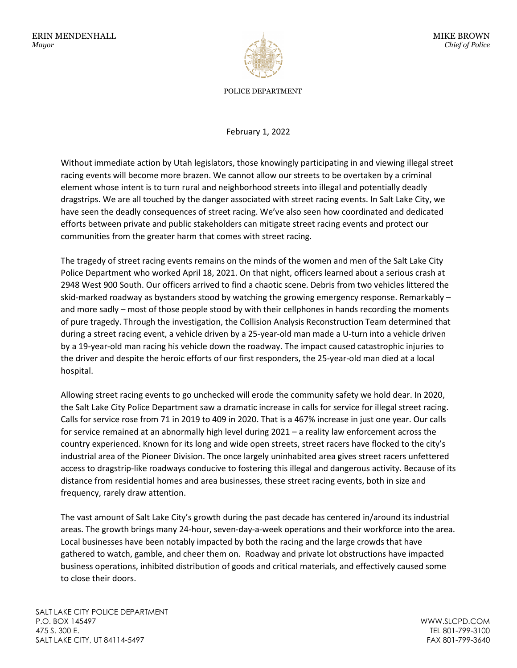

POLICE DEPARTMENT

February 1, 2022

Without immediate action by Utah legislators, those knowingly participating in and viewing illegal street racing events will become more brazen. We cannot allow our streets to be overtaken by a criminal element whose intent is to turn rural and neighborhood streets into illegal and potentially deadly dragstrips. We are all touched by the danger associated with street racing events. In Salt Lake City, we have seen the deadly consequences of street racing. We've also seen how coordinated and dedicated efforts between private and public stakeholders can mitigate street racing events and protect our communities from the greater harm that comes with street racing.

The tragedy of street racing events remains on the minds of the women and men of the Salt Lake City Police Department who worked April 18, 2021. On that night, officers learned about a serious crash at 2948 West 900 South. Our officers arrived to find a chaotic scene. Debris from two vehicles littered the skid-marked roadway as bystanders stood by watching the growing emergency response. Remarkably – and more sadly – most of those people stood by with their cellphones in hands recording the moments of pure tragedy. Through the investigation, the Collision Analysis Reconstruction Team determined that during a street racing event, a vehicle driven by a 25-year-old man made a U-turn into a vehicle driven by a 19-year-old man racing his vehicle down the roadway. The impact caused catastrophic injuries to the driver and despite the heroic efforts of our first responders, the 25-year-old man died at a local hospital.

Allowing street racing events to go unchecked will erode the community safety we hold dear. In 2020, the Salt Lake City Police Department saw a dramatic increase in calls for service for illegal street racing. Calls for service rose from 71 in 2019 to 409 in 2020. That is a 467% increase in just one year. Our calls for service remained at an abnormally high level during 2021 – a reality law enforcement across the country experienced. Known for its long and wide open streets, street racers have flocked to the city's industrial area of the Pioneer Division. The once largely uninhabited area gives street racers unfettered access to dragstrip-like roadways conducive to fostering this illegal and dangerous activity. Because of its distance from residential homes and area businesses, these street racing events, both in size and frequency, rarely draw attention.

The vast amount of Salt Lake City's growth during the past decade has centered in/around its industrial areas. The growth brings many 24-hour, seven-day-a-week operations and their workforce into the area. Local businesses have been notably impacted by both the racing and the large crowds that have gathered to watch, gamble, and cheer them on. Roadway and private lot obstructions have impacted business operations, inhibited distribution of goods and critical materials, and effectively caused some to close their doors.

WWW.SLCPD.COM TEL 801-799-3100 FAX 801-799-3640